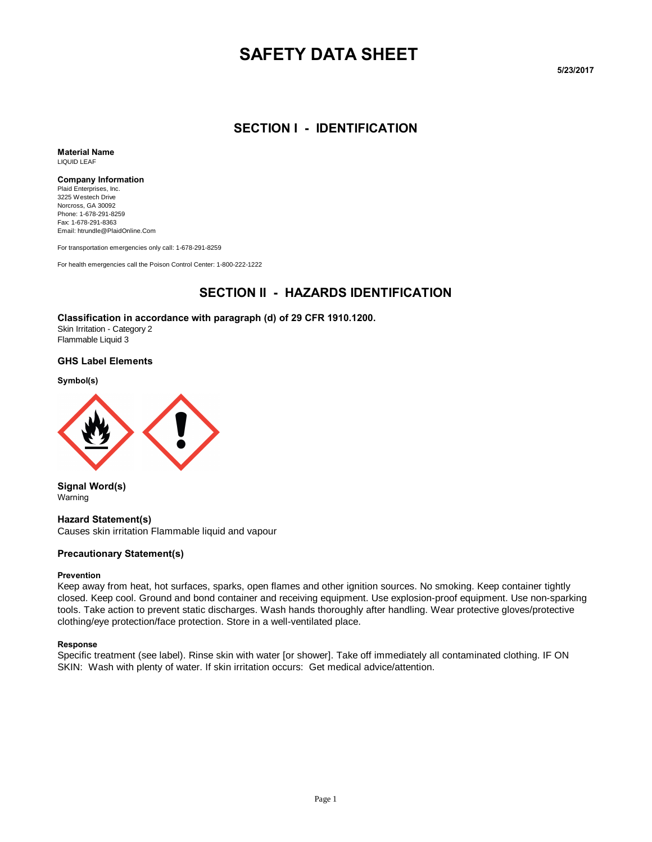# **SAFETY DATA SHEET**

**5/23/2017** 

#### **SECTION I - IDENTIFICATION**

**Material Name** LIQUID LEAF

#### **Company Information**

Plaid Enterprises, Inc. 3225 Westech Drive Norcross, GA 30092 Phone: 1-678-291-8259 Fax: 1-678-291-8363 Email: htrundle@PlaidOnline.Com

For transportation emergencies only call: 1-678-291-8259

For health emergencies call the Poison Control Center: 1-800-222-1222

### **SECTION II - HAZARDS IDENTIFICATION**

#### **Classification in accordance with paragraph (d) of 29 CFR 1910.1200.**

Skin Irritation - Category 2 Flammable Liquid 3

#### **GHS Label Elements**

**Symbol(s)**



**Signal Word(s)** Warning

**Hazard Statement(s)**

Causes skin irritation Flammable liquid and vapour

#### **Precautionary Statement(s)**

#### **Prevention**

Keep away from heat, hot surfaces, sparks, open flames and other ignition sources. No smoking. Keep container tightly closed. Keep cool. Ground and bond container and receiving equipment. Use explosion-proof equipment. Use non-sparking tools. Take action to prevent static discharges. Wash hands thoroughly after handling. Wear protective gloves/protective clothing/eye protection/face protection. Store in a well-ventilated place.

#### **Response**

Specific treatment (see label). Rinse skin with water [or shower]. Take off immediately all contaminated clothing. IF ON SKIN: Wash with plenty of water. If skin irritation occurs: Get medical advice/attention.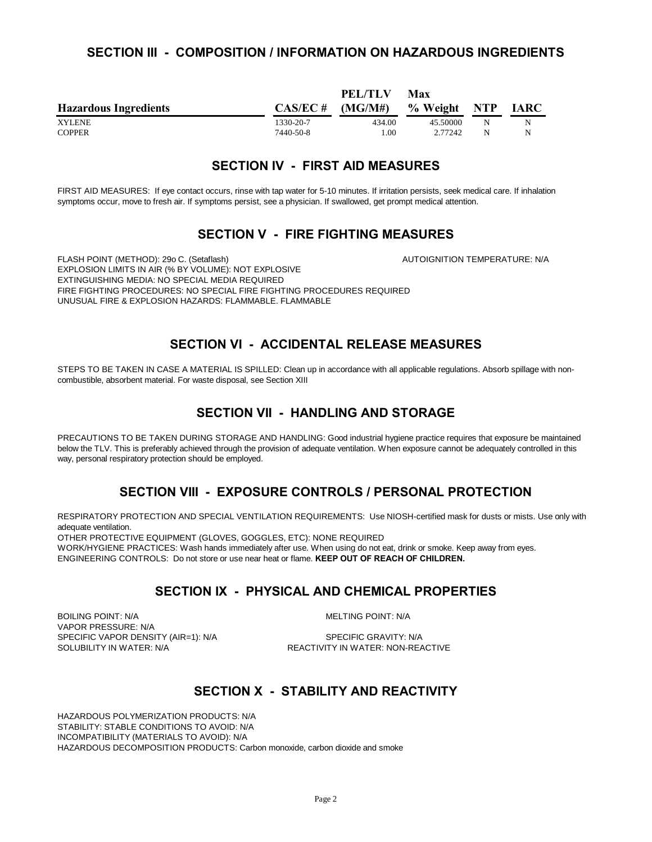#### **SECTION III - COMPOSITION / INFORMATION ON HAZARDOUS INGREDIENTS**

|                              |             | PEL/TLV | Max          |   |             |
|------------------------------|-------------|---------|--------------|---|-------------|
| <b>Hazardous Ingredients</b> | $CAS/EC \#$ | (MG/M#) | % Weight NTP |   | <b>IARC</b> |
| <b>XYLENE</b>                | 1330-20-7   | 434.00  | 45.50000     | N | N           |
| <b>COPPER</b>                | 7440-50-8   | 1.00    | 2.77242      | N | N           |

#### **SECTION IV - FIRST AID MEASURES**

FIRST AID MEASURES: If eye contact occurs, rinse with tap water for 5-10 minutes. If irritation persists, seek medical care. If inhalation symptoms occur, move to fresh air. If symptoms persist, see a physician. If swallowed, get prompt medical attention.

#### **SECTION V - FIRE FIGHTING MEASURES**

FLASH POINT (METHOD): 29o C. (Setaflash) AUTOIGNITION TEMPERATURE: N/A EXPLOSION LIMITS IN AIR (% BY VOLUME): NOT EXPLOSIVE EXTINGUISHING MEDIA: NO SPECIAL MEDIA REQUIRED FIRE FIGHTING PROCEDURES: NO SPECIAL FIRE FIGHTING PROCEDURES REQUIRED UNUSUAL FIRE & EXPLOSION HAZARDS: FLAMMABLE. FLAMMABLE

### **SECTION VI - ACCIDENTAL RELEASE MEASURES**

STEPS TO BE TAKEN IN CASE A MATERIAL IS SPILLED: Clean up in accordance with all applicable regulations. Absorb spillage with noncombustible, absorbent material. For waste disposal, see Section XIII

### **SECTION VII - HANDLING AND STORAGE**

PRECAUTIONS TO BE TAKEN DURING STORAGE AND HANDLING: Good industrial hygiene practice requires that exposure be maintained below the TLV. This is preferably achieved through the provision of adequate ventilation. When exposure cannot be adequately controlled in this way, personal respiratory protection should be employed.

### **SECTION VIII - EXPOSURE CONTROLS / PERSONAL PROTECTION**

RESPIRATORY PROTECTION AND SPECIAL VENTILATION REQUIREMENTS: Use NIOSH-certified mask for dusts or mists. Use only with adequate ventilation.

OTHER PROTECTIVE EQUIPMENT (GLOVES, GOGGLES, ETC): NONE REQUIRED

WORK/HYGIENE PRACTICES: Wash hands immediately after use. When using do not eat, drink or smoke. Keep away from eyes. ENGINEERING CONTROLS: Do not store or use near heat or flame. **KEEP OUT OF REACH OF CHILDREN.**

### **SECTION IX - PHYSICAL AND CHEMICAL PROPERTIES**

BOILING POINT: N/A MELTING POINT: N/A VAPOR PRESSURE: N/A SPECIFIC VAPOR DENSITY (AIR=1): N/A SPECIFIC GRAVITY: N/A<br>SOLUBILITY IN WATER: N/A SOLUBILITY IN WATER: NON-REA

REACTIVITY IN WATER: NON-REACTIVE

### **SECTION X - STABILITY AND REACTIVITY**

HAZARDOUS POLYMERIZATION PRODUCTS: N/A STABILITY: STABLE CONDITIONS TO AVOID: N/A INCOMPATIBILITY (MATERIALS TO AVOID): N/A HAZARDOUS DECOMPOSITION PRODUCTS: Carbon monoxide, carbon dioxide and smoke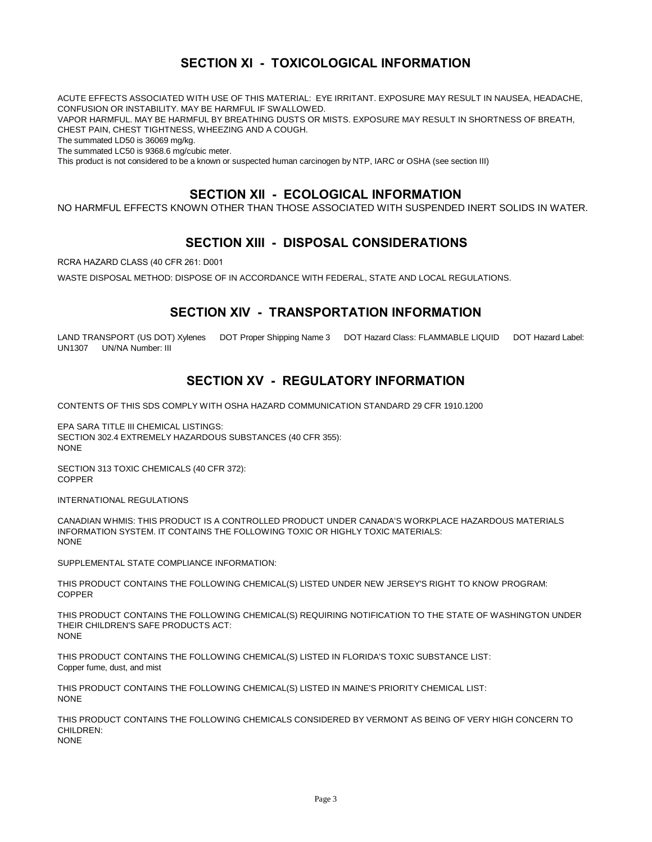# **SECTION XI - TOXICOLOGICAL INFORMATION**

ACUTE EFFECTS ASSOCIATED WITH USE OF THIS MATERIAL: EYE IRRITANT. EXPOSURE MAY RESULT IN NAUSEA, HEADACHE, CONFUSION OR INSTABILITY. MAY BE HARMFUL IF SWALLOWED.

VAPOR HARMFUL. MAY BE HARMFUL BY BREATHING DUSTS OR MISTS. EXPOSURE MAY RESULT IN SHORTNESS OF BREATH, CHEST PAIN, CHEST TIGHTNESS, WHEEZING AND A COUGH.

The summated LD50 is 36069 mg/kg.

The summated LC50 is 9368.6 mg/cubic meter.

This product is not considered to be a known or suspected human carcinogen by NTP, IARC or OSHA (see section III)

### **SECTION XII - ECOLOGICAL INFORMATION**

NO HARMFUL EFFECTS KNOWN OTHER THAN THOSE ASSOCIATED WITH SUSPENDED INERT SOLIDS IN WATER.

### **SECTION XIII - DISPOSAL CONSIDERATIONS**

RCRA HAZARD CLASS (40 CFR 261: D001

WASTE DISPOSAL METHOD: DISPOSE OF IN ACCORDANCE WITH FEDERAL, STATE AND LOCAL REGULATIONS.

#### **SECTION XIV - TRANSPORTATION INFORMATION**

LAND TRANSPORT (US DOT) Xylenes DOT Proper Shipping Name 3 DOT Hazard Class: FLAMMABLE LIQUID DOT Hazard Label: UN1307 UN/NA Number: III

### **SECTION XV - REGULATORY INFORMATION**

CONTENTS OF THIS SDS COMPLY WITH OSHA HAZARD COMMUNICATION STANDARD 29 CFR 1910.1200

EPA SARA TITLE III CHEMICAL LISTINGS: SECTION 302.4 EXTREMELY HAZARDOUS SUBSTANCES (40 CFR 355): **NONE** 

SECTION 313 TOXIC CHEMICALS (40 CFR 372): COPPER

INTERNATIONAL REGULATIONS

CANADIAN WHMIS: THIS PRODUCT IS A CONTROLLED PRODUCT UNDER CANADA'S WORKPLACE HAZARDOUS MATERIALS INFORMATION SYSTEM. IT CONTAINS THE FOLLOWING TOXIC OR HIGHLY TOXIC MATERIALS: NONE

SUPPLEMENTAL STATE COMPLIANCE INFORMATION:

THIS PRODUCT CONTAINS THE FOLLOWING CHEMICAL(S) LISTED UNDER NEW JERSEY'S RIGHT TO KNOW PROGRAM: COPPER

THIS PRODUCT CONTAINS THE FOLLOWING CHEMICAL(S) REQUIRING NOTIFICATION TO THE STATE OF WASHINGTON UNDER THEIR CHILDREN'S SAFE PRODUCTS ACT: NONE

THIS PRODUCT CONTAINS THE FOLLOWING CHEMICAL(S) LISTED IN FLORIDA'S TOXIC SUBSTANCE LIST: Copper fume, dust, and mist

THIS PRODUCT CONTAINS THE FOLLOWING CHEMICAL(S) LISTED IN MAINE'S PRIORITY CHEMICAL LIST: NONE

THIS PRODUCT CONTAINS THE FOLLOWING CHEMICALS CONSIDERED BY VERMONT AS BEING OF VERY HIGH CONCERN TO CHILDREN:

NONE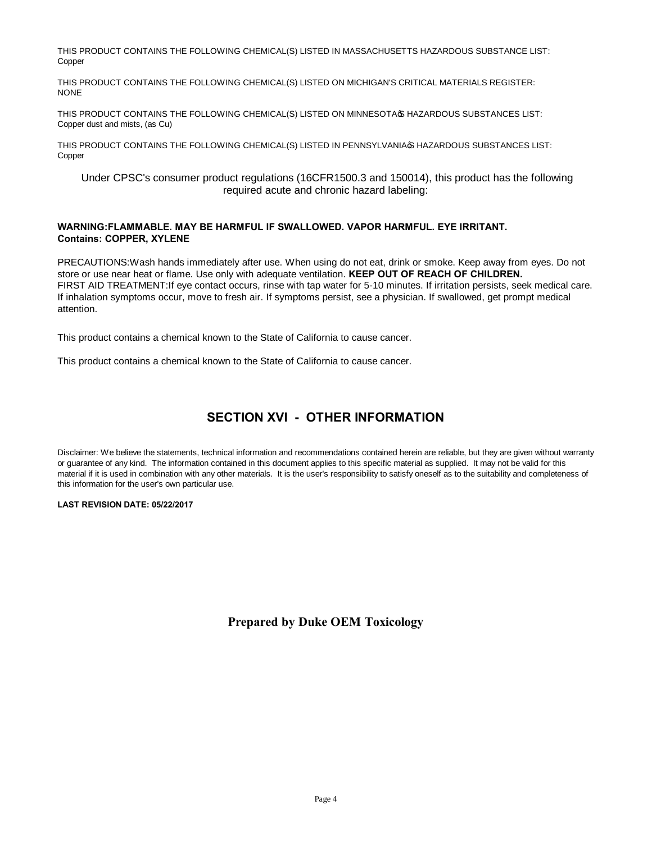THIS PRODUCT CONTAINS THE FOLLOWING CHEMICAL(S) LISTED IN MASSACHUSETTS HAZARDOUS SUBSTANCE LIST: Copper

THIS PRODUCT CONTAINS THE FOLLOWING CHEMICAL(S) LISTED ON MICHIGAN'S CRITICAL MATERIALS REGISTER: NONE

THIS PRODUCT CONTAINS THE FOLLOWING CHEMICAL(S) LISTED ON MINNESOTA & HAZARDOUS SUBSTANCES LIST: Copper dust and mists, (as Cu)

THIS PRODUCT CONTAINS THE FOLLOWING CHEMICAL(S) LISTED IN PENNSYLVANIA & HAZARDOUS SUBSTANCES LIST: Copper

Under CPSC's consumer product regulations (16CFR1500.3 and 150014), this product has the following required acute and chronic hazard labeling:

#### **WARNING:FLAMMABLE. MAY BE HARMFUL IF SWALLOWED. VAPOR HARMFUL. EYE IRRITANT. Contains: COPPER, XYLENE**

PRECAUTIONS:Wash hands immediately after use. When using do not eat, drink or smoke. Keep away from eyes. Do not store or use near heat or flame. Use only with adequate ventilation. **KEEP OUT OF REACH OF CHILDREN.**  FIRST AID TREATMENT:If eye contact occurs, rinse with tap water for 5-10 minutes. If irritation persists, seek medical care. If inhalation symptoms occur, move to fresh air. If symptoms persist, see a physician. If swallowed, get prompt medical attention.

This product contains a chemical known to the State of California to cause cancer.

This product contains a chemical known to the State of California to cause cancer.

## **SECTION XVI - OTHER INFORMATION**

Disclaimer: We believe the statements, technical information and recommendations contained herein are reliable, but they are given without warranty or guarantee of any kind. The information contained in this document applies to this specific material as supplied. It may not be valid for this material if it is used in combination with any other materials. It is the user's responsibility to satisfy oneself as to the suitability and completeness of this information for the user's own particular use.

#### **LAST REVISION DATE: 05/22/2017**

**Prepared by Duke OEM Toxicology**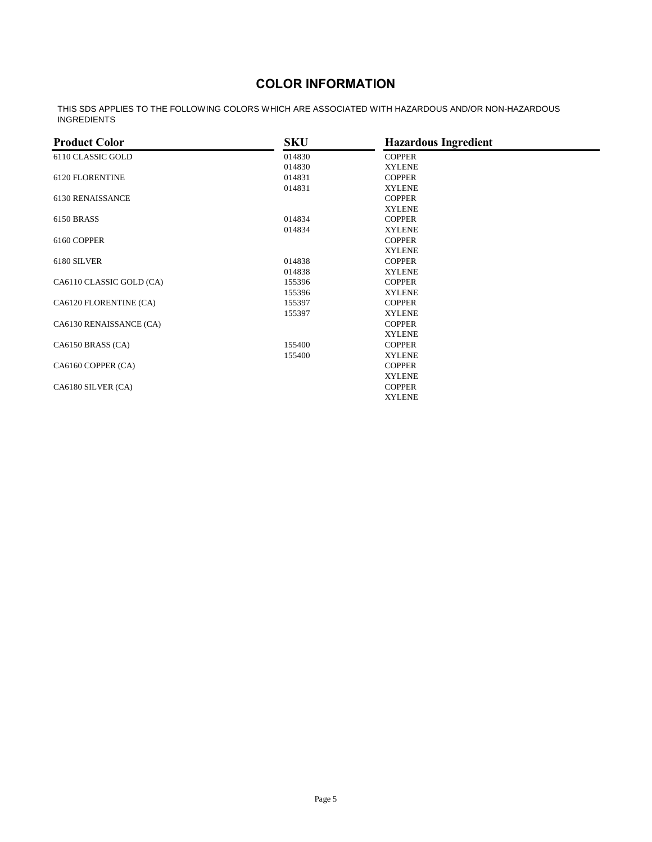# **COLOR INFORMATION**

THIS SDS APPLIES TO THE FOLLOWING COLORS WHICH ARE ASSOCIATED WITH HAZARDOUS AND/OR NON-HAZARDOUS INGREDIENTS

| <b>Product Color</b>     | <b>SKU</b> | <b>Hazardous Ingredient</b> |  |
|--------------------------|------------|-----------------------------|--|
| 6110 CLASSIC GOLD        | 014830     | <b>COPPER</b>               |  |
|                          | 014830     | <b>XYLENE</b>               |  |
| 6120 FLORENTINE          | 014831     | <b>COPPER</b>               |  |
|                          | 014831     | <b>XYLENE</b>               |  |
| 6130 RENAISSANCE         |            | <b>COPPER</b>               |  |
|                          |            | <b>XYLENE</b>               |  |
| 6150 BRASS               | 014834     | <b>COPPER</b>               |  |
|                          | 014834     | <b>XYLENE</b>               |  |
| 6160 COPPER              |            | <b>COPPER</b>               |  |
|                          |            | <b>XYLENE</b>               |  |
| 6180 SILVER              | 014838     | <b>COPPER</b>               |  |
|                          | 014838     | <b>XYLENE</b>               |  |
| CA6110 CLASSIC GOLD (CA) | 155396     | <b>COPPER</b>               |  |
|                          | 155396     | <b>XYLENE</b>               |  |
| CA6120 FLORENTINE (CA)   | 155397     | <b>COPPER</b>               |  |
|                          | 155397     | <b>XYLENE</b>               |  |
| CA6130 RENAISSANCE (CA)  |            | <b>COPPER</b>               |  |
|                          |            | <b>XYLENE</b>               |  |
| CA6150 BRASS (CA)        | 155400     | <b>COPPER</b>               |  |
|                          | 155400     | <b>XYLENE</b>               |  |
| CA6160 COPPER (CA)       |            | <b>COPPER</b>               |  |
|                          |            | <b>XYLENE</b>               |  |
| CA6180 SILVER (CA)       |            | <b>COPPER</b>               |  |
|                          |            | <b>XYLENE</b>               |  |